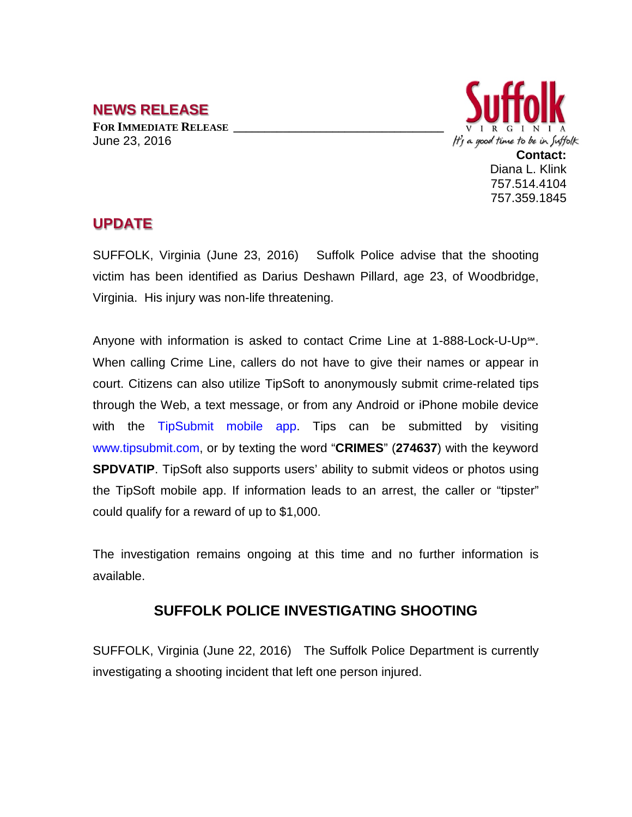## **NEWS RELEASE**

**FOR IMMEDIATE RELEASE \_\_\_\_\_\_\_\_\_\_\_\_\_\_\_\_\_\_\_\_\_\_\_\_\_\_\_\_\_\_\_\_\_\_** June 23, 2016



## **UPDATE**

SUFFOLK, Virginia (June 23, 2016) Suffolk Police advise that the shooting victim has been identified as Darius Deshawn Pillard, age 23, of Woodbridge, Virginia. His injury was non-life threatening.

Anyone with information is asked to contact Crime Line at 1-888-Lock-U-Up℠. When calling Crime Line, callers do not have to give their names or appear in court. Citizens can also utilize TipSoft to anonymously submit crime-related tips through the Web, a text message, or from any Android or iPhone mobile device with the TipSubmit mobile app. Tips can be submitted by visiting www.tipsubmit.com, or by texting the word "**CRIMES**" (**274637**) with the keyword **SPDVATIP**. TipSoft also supports users' ability to submit videos or photos using the TipSoft mobile app. If information leads to an arrest, the caller or "tipster" could qualify for a reward of up to \$1,000.

The investigation remains ongoing at this time and no further information is available.

## **SUFFOLK POLICE INVESTIGATING SHOOTING**

SUFFOLK, Virginia (June 22, 2016) The Suffolk Police Department is currently investigating a shooting incident that left one person injured.